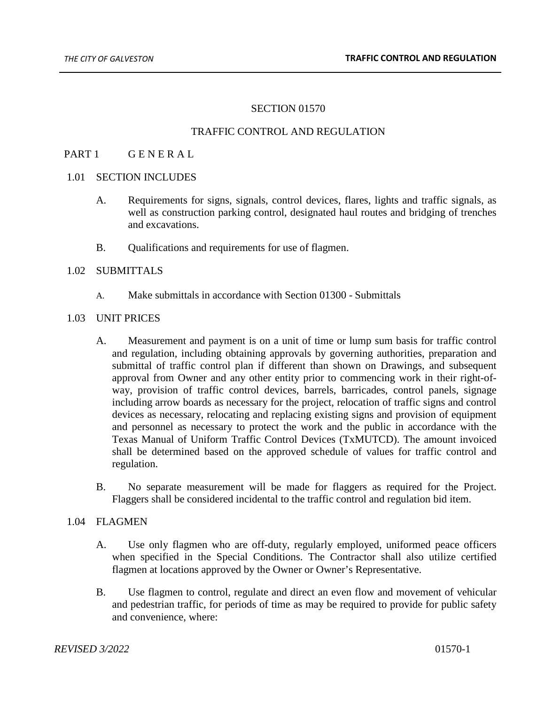#### SECTION 01570

#### TRAFFIC CONTROL AND REGULATION

## PART 1 GENERAL

## 1.01 SECTION INCLUDES

- A. Requirements for signs, signals, control devices, flares, lights and traffic signals, as well as construction parking control, designated haul routes and bridging of trenches and excavations.
- B. Qualifications and requirements for use of flagmen.

## 1.02 SUBMITTALS

A. Make submittals in accordance with Section 01300 - Submittals

#### 1.03 UNIT PRICES

- A. Measurement and payment is on a unit of time or lump sum basis for traffic control and regulation, including obtaining approvals by governing authorities, preparation and submittal of traffic control plan if different than shown on Drawings, and subsequent approval from Owner and any other entity prior to commencing work in their right-ofway, provision of traffic control devices, barrels, barricades, control panels, signage including arrow boards as necessary for the project, relocation of traffic signs and control devices as necessary, relocating and replacing existing signs and provision of equipment and personnel as necessary to protect the work and the public in accordance with the Texas Manual of Uniform Traffic Control Devices (TxMUTCD). The amount invoiced shall be determined based on the approved schedule of values for traffic control and regulation.
- B. No separate measurement will be made for flaggers as required for the Project. Flaggers shall be considered incidental to the traffic control and regulation bid item.

#### 1.04 FLAGMEN

- A. Use only flagmen who are off-duty, regularly employed, uniformed peace officers when specified in the Special Conditions. The Contractor shall also utilize certified flagmen at locations approved by the Owner or Owner's Representative.
- B. Use flagmen to control, regulate and direct an even flow and movement of vehicular and pedestrian traffic, for periods of time as may be required to provide for public safety and convenience, where: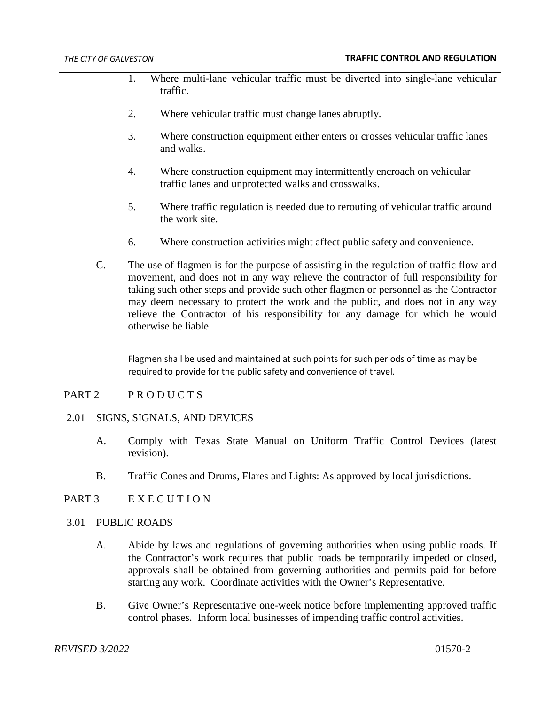- 1. Where multi-lane vehicular traffic must be diverted into single-lane vehicular traffic.
- 2. Where vehicular traffic must change lanes abruptly.
- 3. Where construction equipment either enters or crosses vehicular traffic lanes and walks.
- 4. Where construction equipment may intermittently encroach on vehicular traffic lanes and unprotected walks and crosswalks.
- 5. Where traffic regulation is needed due to rerouting of vehicular traffic around the work site.
- 6. Where construction activities might affect public safety and convenience.
- C. The use of flagmen is for the purpose of assisting in the regulation of traffic flow and movement, and does not in any way relieve the contractor of full responsibility for taking such other steps and provide such other flagmen or personnel as the Contractor may deem necessary to protect the work and the public, and does not in any way relieve the Contractor of his responsibility for any damage for which he would otherwise be liable.

Flagmen shall be used and maintained at such points for such periods of time as may be required to provide for the public safety and convenience of travel.

#### PART 2 PRODUCTS

#### 2.01 SIGNS, SIGNALS, AND DEVICES

- A. Comply with Texas State Manual on Uniform Traffic Control Devices (latest revision).
- B. Traffic Cones and Drums, Flares and Lights: As approved by local jurisdictions.

# PART 3 EXECUTION

#### 3.01 PUBLIC ROADS

- A. Abide by laws and regulations of governing authorities when using public roads. If the Contractor's work requires that public roads be temporarily impeded or closed, approvals shall be obtained from governing authorities and permits paid for before starting any work. Coordinate activities with the Owner's Representative.
- B. Give Owner's Representative one-week notice before implementing approved traffic control phases. Inform local businesses of impending traffic control activities.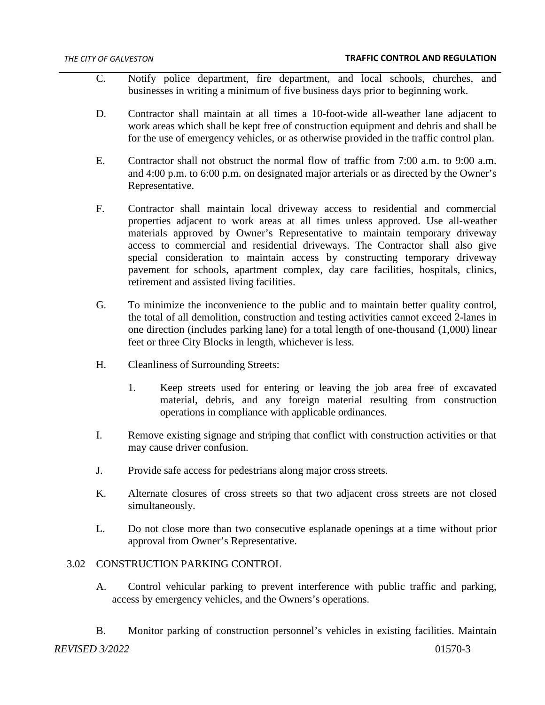- C. Notify police department, fire department, and local schools, churches, and businesses in writing a minimum of five business days prior to beginning work.
- D. Contractor shall maintain at all times a 10-foot-wide all-weather lane adjacent to work areas which shall be kept free of construction equipment and debris and shall be for the use of emergency vehicles, or as otherwise provided in the traffic control plan.
- E. Contractor shall not obstruct the normal flow of traffic from 7:00 a.m. to 9:00 a.m. and 4:00 p.m. to 6:00 p.m. on designated major arterials or as directed by the Owner's Representative.
- F. Contractor shall maintain local driveway access to residential and commercial properties adjacent to work areas at all times unless approved. Use all-weather materials approved by Owner's Representative to maintain temporary driveway access to commercial and residential driveways. The Contractor shall also give special consideration to maintain access by constructing temporary driveway pavement for schools, apartment complex, day care facilities, hospitals, clinics, retirement and assisted living facilities.
- G. To minimize the inconvenience to the public and to maintain better quality control, the total of all demolition, construction and testing activities cannot exceed 2-lanes in one direction (includes parking lane) for a total length of one-thousand (1,000) linear feet or three City Blocks in length, whichever is less.
- H. Cleanliness of Surrounding Streets:
	- 1. Keep streets used for entering or leaving the job area free of excavated material, debris, and any foreign material resulting from construction operations in compliance with applicable ordinances.
- I. Remove existing signage and striping that conflict with construction activities or that may cause driver confusion.
- J. Provide safe access for pedestrians along major cross streets.
- K. Alternate closures of cross streets so that two adjacent cross streets are not closed simultaneously.
- L. Do not close more than two consecutive esplanade openings at a time without prior approval from Owner's Representative.

# 3.02 CONSTRUCTION PARKING CONTROL

- A. Control vehicular parking to prevent interference with public traffic and parking, access by emergency vehicles, and the Owners's operations.
- B. Monitor parking of construction personnel's vehicles in existing facilities. Maintain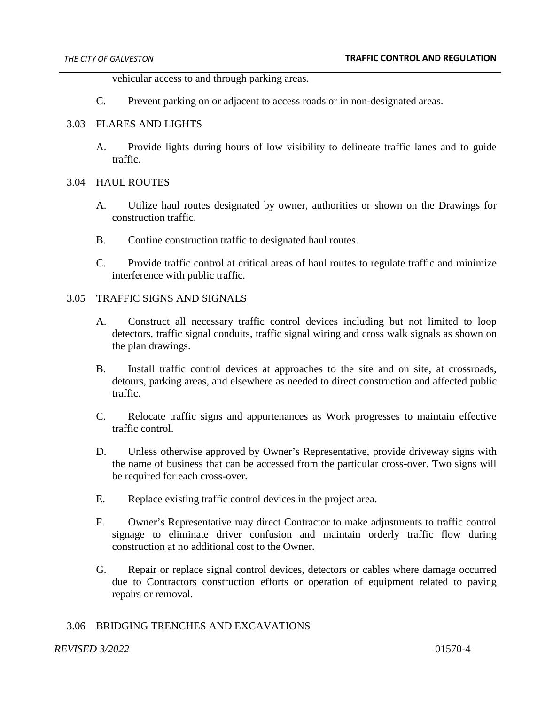vehicular access to and through parking areas.

C. Prevent parking on or adjacent to access roads or in non-designated areas.

# 3.03 FLARES AND LIGHTS

A. Provide lights during hours of low visibility to delineate traffic lanes and to guide traffic.

## 3.04 HAUL ROUTES

- A. Utilize haul routes designated by owner, authorities or shown on the Drawings for construction traffic.
- B. Confine construction traffic to designated haul routes.
- C. Provide traffic control at critical areas of haul routes to regulate traffic and minimize interference with public traffic.

# 3.05 TRAFFIC SIGNS AND SIGNALS

- A. Construct all necessary traffic control devices including but not limited to loop detectors, traffic signal conduits, traffic signal wiring and cross walk signals as shown on the plan drawings.
- B. Install traffic control devices at approaches to the site and on site, at crossroads, detours, parking areas, and elsewhere as needed to direct construction and affected public traffic.
- C. Relocate traffic signs and appurtenances as Work progresses to maintain effective traffic control.
- D. Unless otherwise approved by Owner's Representative, provide driveway signs with the name of business that can be accessed from the particular cross-over. Two signs will be required for each cross-over.
- E. Replace existing traffic control devices in the project area.
- F. Owner's Representative may direct Contractor to make adjustments to traffic control signage to eliminate driver confusion and maintain orderly traffic flow during construction at no additional cost to the Owner.
- G. Repair or replace signal control devices, detectors or cables where damage occurred due to Contractors construction efforts or operation of equipment related to paving repairs or removal.

# 3.06 BRIDGING TRENCHES AND EXCAVATIONS

#### *REVISED 3/2022* 01570-4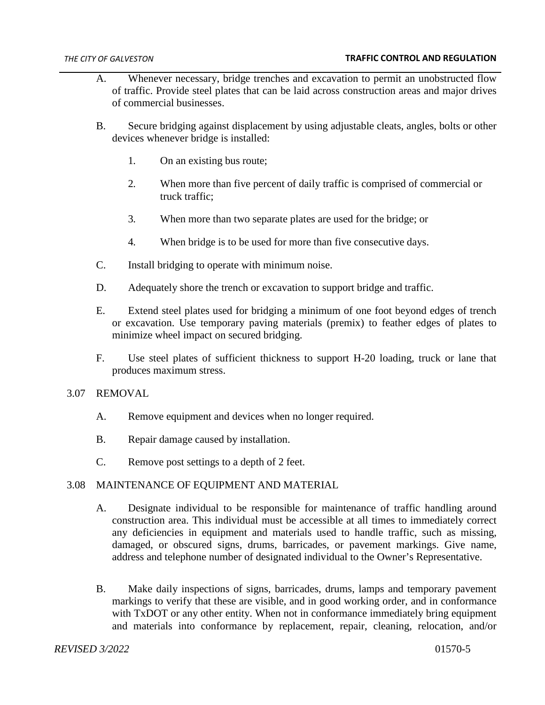- A. Whenever necessary, bridge trenches and excavation to permit an unobstructed flow of traffic. Provide steel plates that can be laid across construction areas and major drives of commercial businesses.
- B. Secure bridging against displacement by using adjustable cleats, angles, bolts or other devices whenever bridge is installed:
	- 1. On an existing bus route;
	- 2. When more than five percent of daily traffic is comprised of commercial or truck traffic;
	- 3. When more than two separate plates are used for the bridge; or
	- 4. When bridge is to be used for more than five consecutive days.
- C. Install bridging to operate with minimum noise.
- D. Adequately shore the trench or excavation to support bridge and traffic.
- E. Extend steel plates used for bridging a minimum of one foot beyond edges of trench or excavation. Use temporary paving materials (premix) to feather edges of plates to minimize wheel impact on secured bridging.
- F. Use steel plates of sufficient thickness to support H-20 loading, truck or lane that produces maximum stress.
- 3.07 REMOVAL
	- A. Remove equipment and devices when no longer required.
	- B. Repair damage caused by installation.
	- C. Remove post settings to a depth of 2 feet.

# 3.08 MAINTENANCE OF EQUIPMENT AND MATERIAL

- A. Designate individual to be responsible for maintenance of traffic handling around construction area. This individual must be accessible at all times to immediately correct any deficiencies in equipment and materials used to handle traffic, such as missing, damaged, or obscured signs, drums, barricades, or pavement markings. Give name, address and telephone number of designated individual to the Owner's Representative.
- B. Make daily inspections of signs, barricades, drums, lamps and temporary pavement markings to verify that these are visible, and in good working order, and in conformance with TxDOT or any other entity. When not in conformance immediately bring equipment and materials into conformance by replacement, repair, cleaning, relocation, and/or